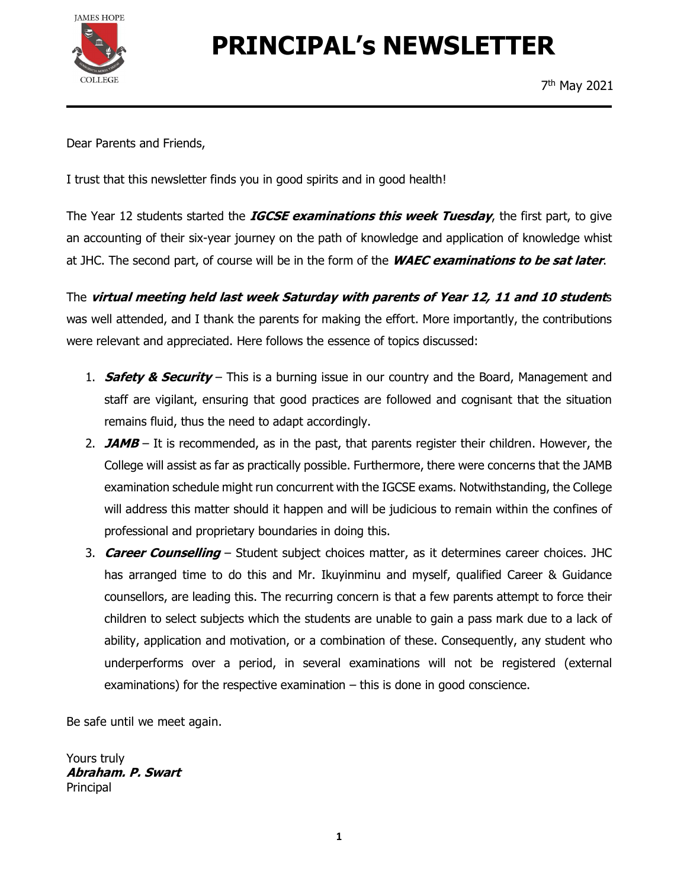

# PRINCIPAL's NEWSLETTER

Dear Parents and Friends,

I trust that this newsletter finds you in good spirits and in good health!

The Year 12 students started the *IGCSE examinations this week Tuesday*, the first part, to give an accounting of their six-year journey on the path of knowledge and application of knowledge whist at JHC. The second part, of course will be in the form of the *WAEC examinations to be sat later*.<br>The *virtual meeting held last week Saturday with parents of Year 12, 11 and 10 student*s

was well attended, and I thank the parents for making the effort. More importantly, the contributions were relevant and appreciated. Here follows the essence of topics discussed:

- 1. **Safety & Security** This is a burning issue in our country and the Board, Management and staff are vigilant, ensuring that good practices are followed and cognisant that the situation remains fluid, thus the need to adapt accordingly.
- 2. **JAMB** It is recommended, as in the past, that parents register their children. However, the College will assist as far as practically possible. Furthermore, there were concerns that the JAMB examination schedule might run concurrent with the IGCSE exams. Notwithstanding, the College will address this matter should it happen and will be judicious to remain within the confines of professional and proprietary boundaries in doing this.
- 3. Career Counselling Student subject choices matter, as it determines career choices. JHC has arranged time to do this and Mr. Ikuyinminu and myself, qualified Career & Guidance counsellors, are leading this. The recurring concern is that a few parents attempt to force their children to select subjects which the students are unable to gain a pass mark due to a lack of ability, application and motivation, or a combination of these. Consequently, any student who underperforms over a period, in several examinations will not be registered (external examinations) for the respective examination  $-$  this is done in good conscience.

Be safe until we meet again.

Yours truly Abraham. P. Swart Principal